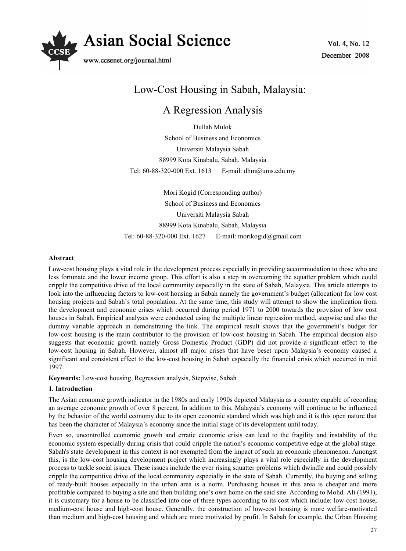

# Low-Cost Housing in Sabah, Malaysia:

# A Regression Analysis

Dullah Mulok

School of Business and Economics Universiti Malaysia Sabah 88999 Kota Kinabalu, Sabah, Malaysia Tel: 60-88-320-000 Ext. 1613 E-mail: dhm@ums.edu.my

Mori Kogid (Corresponding author) School of Business and Economics Universiti Malaysia Sabah 88999 Kota Kinabalu, Sabah, Malaysia Tel: 60-88-320-000 Ext. 1627 E-mail: morikogid@gmail.com

### **Abstract**

Low-cost housing plays a vital role in the development process especially in providing accommodation to those who are less fortunate and the lower income group. This effort is also a step in overcoming the squatter problem which could cripple the competitive drive of the local community especially in the state of Sabah, Malaysia. This article attempts to look into the influencing factors to low-cost housing in Sabah namely the government's budget (allocation) for low cost housing projects and Sabah's total population. At the same time, this study will attempt to show the implication from the development and economic crises which occurred during period 1971 to 2000 towards the provision of low cost houses in Sabah. Empirical analyses were conducted using the multiple linear regression method, stepwise and also the dummy variable approach in demonstrating the link. The empirical result shows that the government's budget for low-cost housing is the main contributor to the provision of low-cost housing in Sabah. The empirical decision also suggests that economic growth namely Gross Domestic Product (GDP) did not provide a significant effect to the low-cost housing in Sabah. However, almost all major crises that have beset upon Malaysia's economy caused a significant and consistent effect to the low-cost housing in Sabah especially the financial crisis which occurred in mid 1997.

**Keywords:** Low-cost housing, Regression analysis, Stepwise, Sabah

# **1. Introduction**

The Asian economic growth indicator in the 1980s and early 1990s depicted Malaysia as a country capable of recording an average economic growth of over 8 percent. In addition to this, Malaysia's economy will continue to be influenced by the behavior of the world economy due to its open economic standard which was high and it is this open nature that has been the character of Malaysia's economy since the initial stage of its development until today.

Even so, uncontrolled economic growth and erratic economic crisis can lead to the fragility and instability of the economic system especially during crisis that could cripple the nation's economic competitive edge at the global stage. Sabah's state development in this context is not exempted from the impact of such an economic phenomenon. Amongst this, is the low-cost housing development project which increasingly plays a vital role especially in the development process to tackle social issues. These issues include the ever rising squatter problems which dwindle and could possibly cripple the competitive drive of the local community especially in the state of Sabah. Currently, the buying and selling of ready-built houses especially in the urban area is a norm. Purchasing houses in this area is cheaper and more profitable compared to buying a site and then building one's own home on the said site. According to Mohd. Ali (1991), it is customary for a house to be classified into one of three types according to its cost which include: low-cost house, medium-cost house and high-cost house. Generally, the construction of low-cost housing is more welfare-motivated than medium and high-cost housing and which are more motivated by profit. In Sabah for example, the Urban Housing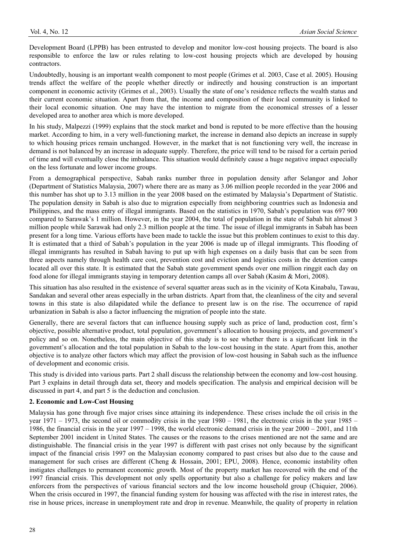Development Board (LPPB) has been entrusted to develop and monitor low-cost housing projects. The board is also responsible to enforce the law or rules relating to low-cost housing projects which are developed by housing contractors.

Undoubtedly, housing is an important wealth component to most people (Grimes et al. 2003, Case et al. 2005). Housing trends affect the welfare of the people whether directly or indirectly and housing construction is an important component in economic activity (Grimes et al., 2003). Usually the state of one's residence reflects the wealth status and their current economic situation. Apart from that, the income and composition of their local community is linked to their local economic situation. One may have the intention to migrate from the economical stresses of a lesser developed area to another area which is more developed.

In his study, Malpezzi (1999) explains that the stock market and bond is reputed to be more effective than the housing market. According to him, in a very well-functioning market, the increase in demand also depicts an increase in supply to which housing prices remain unchanged. However, in the market that is not functioning very well, the increase in demand is not balanced by an increase in adequate supply. Therefore, the price will tend to be raised for a certain period of time and will eventually close the imbalance. This situation would definitely cause a huge negative impact especially on the less fortunate and lower income groups.

From a demographical perspective, Sabah ranks number three in population density after Selangor and Johor (Department of Statistics Malaysia, 2007) where there are as many as 3.06 million people recorded in the year 2006 and this number has shot up to 3.13 million in the year 2008 based on the estimated by Malaysia's Department of Statistic. The population density in Sabah is also due to migration especially from neighboring countries such as Indonesia and Philippines, and the mass entry of illegal immigrants. Based on the statistics in 1970, Sabah's population was 697 900 compared to Sarawak's 1 million. However, in the year 2004, the total of population in the state of Sabah hit almost 3 million people while Sarawak had only 2.3 million people at the time. The issue of illegal immigrants in Sabah has been present for a long time. Various efforts have been made to tackle the issue but this problem continues to exist to this day. It is estimated that a third of Sabah's population in the year 2006 is made up of illegal immigrants. This flooding of illegal immigrants has resulted in Sabah having to put up with high expenses on a daily basis that can be seen from three aspects namely through health care cost, prevention cost and eviction and logistics costs in the detention camps located all over this state. It is estimated that the Sabah state government spends over one million ringgit each day on food alone for illegal immigrants staying in temporary detention camps all over Sabah (Kasim & Mori, 2008).

This situation has also resulted in the existence of several squatter areas such as in the vicinity of Kota Kinabalu, Tawau, Sandakan and several other areas especially in the urban districts. Apart from that, the cleanliness of the city and several towns in this state is also dilapidated while the defiance to present law is on the rise. The occurrence of rapid urbanization in Sabah is also a factor influencing the migration of people into the state.

Generally, there are several factors that can influence housing supply such as price of land, production cost, firm's objective, possible alternative product, total population, government's allocation to housing projects, and government's policy and so on. Nonetheless, the main objective of this study is to see whether there is a significant link in the government's allocation and the total population in Sabah to the low-cost housing in the state. Apart from this, another objective is to analyze other factors which may affect the provision of low-cost housing in Sabah such as the influence of development and economic crisis.

This study is divided into various parts. Part 2 shall discuss the relationship between the economy and low-cost housing. Part 3 explains in detail through data set, theory and models specification. The analysis and empirical decision will be discussed in part 4, and part 5 is the deduction and conclusion.

### **2. Economic and Low-Cost Housing**

Malaysia has gone through five major crises since attaining its independence. These crises include the oil crisis in the year 1971 – 1973, the second oil or commodity crisis in the year 1980 – 1981, the electronic crisis in the year 1985 – 1986, the financial crisis in the year 1997 – 1998, the world electronic demand crisis in the year 2000 – 2001, and 11th September 2001 incident in United States. The causes or the reasons to the crises mentioned are not the same and are distinguishable. The financial crisis in the year 1997 is different with past crises not only because by the significant impact of the financial crisis 1997 on the Malaysian economy compared to past crises but also due to the cause and management for such crises are different (Cheng & Hossain, 2001; EPU, 2008). Hence, economic instability often instigates challenges to permanent economic growth. Most of the property market has recovered with the end of the 1997 financial crisis. This development not only spells opportunity but also a challenge for policy makers and law enforcers from the perspectives of various financial sectors and the low income household group (Chiquier, 2006). When the crisis occured in 1997, the financial funding system for housing was affected with the rise in interest rates, the rise in house prices, increase in unemployment rate and drop in revenue. Meanwhile, the quality of property in relation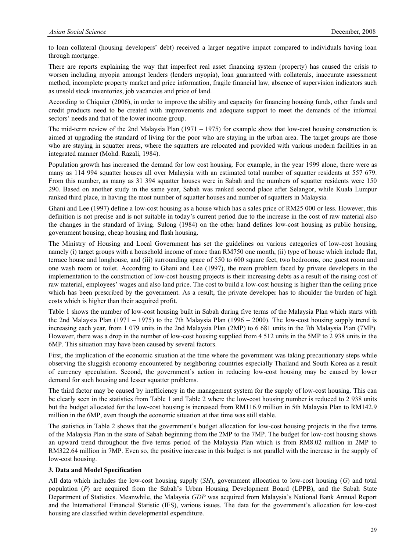to loan collateral (housing developers' debt) received a larger negative impact compared to individuals having loan through mortgage.

There are reports explaining the way that imperfect real asset financing system (property) has caused the crisis to worsen including myopia amongst lenders (lenders myopia), loan guaranteed with collaterals, inaccurate assessment method, incomplete property market and price information, fragile financial law, absence of supervision indicators such as unsold stock inventories, job vacancies and price of land.

According to Chiquier (2006), in order to improve the ability and capacity for financing housing funds, other funds and credit products need to be created with improvements and adequate support to meet the demands of the informal sectors' needs and that of the lower income group.

The mid-term review of the 2nd Malaysia Plan (1971 – 1975) for example show that low-cost housing construction is aimed at upgrading the standard of living for the poor who are staying in the urban area. The target groups are those who are staying in squatter areas, where the squatters are relocated and provided with various modern facilities in an integrated manner (Mohd. Razali, 1984).

Population growth has increased the demand for low cost housing. For example, in the year 1999 alone, there were as many as 114 994 squatter houses all over Malaysia with an estimated total number of squatter residents at 557 679. From this number, as many as 31 394 squatter houses were in Sabah and the numbers of squatter residents were 150 290. Based on another study in the same year, Sabah was ranked second place after Selangor, while Kuala Lumpur ranked third place, in having the most number of squatter houses and number of squatters in Malaysia.

Ghani and Lee (1997) define a low-cost housing as a house which has a sales price of RM25 000 or less. However, this definition is not precise and is not suitable in today's current period due to the increase in the cost of raw material also the changes in the standard of living. Sulong (1984) on the other hand defines low-cost housing as public housing, government housing, cheap housing and flash housing.

The Ministry of Housing and Local Government has set the guidelines on various categories of low-cost housing namely (i) target groups with a household income of more than RM750 one month, (ii) type of house which include flat, terrace house and longhouse, and (iii) surrounding space of 550 to 600 square feet, two bedrooms, one guest room and one wash room or toilet. According to Ghani and Lee (1997), the main problem faced by private developers in the implementation to the construction of low-cost housing projects is their increasing debts as a result of the rising cost of raw material, employees' wages and also land price. The cost to build a low-cost housing is higher than the ceiling price which has been prescribed by the government. As a result, the private developer has to shoulder the burden of high costs which is higher than their acquired profit.

Table 1 shows the number of low-cost housing built in Sabah during five terms of the Malaysia Plan which starts with the 2nd Malaysia Plan (1971 – 1975) to the 7th Malaysia Plan (1996 – 2000). The low-cost housing supply trend is increasing each year, from 1 079 units in the 2nd Malaysia Plan (2MP) to 6 681 units in the 7th Malaysia Plan (7MP). However, there was a drop in the number of low-cost housing supplied from 4 512 units in the 5MP to 2 938 units in the 6MP. This situation may have been caused by several factors.

First, the implication of the economic situation at the time where the government was taking precautionary steps while observing the sluggish economy encountered by neighboring countries especially Thailand and South Korea as a result of currency speculation. Second, the government's action in reducing low-cost housing may be caused by lower demand for such housing and lesser squatter problems.

The third factor may be caused by inefficiency in the management system for the supply of low-cost housing. This can be clearly seen in the statistics from Table 1 and Table 2 where the low-cost housing number is reduced to 2 938 units but the budget allocated for the low-cost housing is increased from RM116.9 million in 5th Malaysia Plan to RM142.9 million in the 6MP, even though the economic situation at that time was still stable.

The statistics in Table 2 shows that the government's budget allocation for low-cost housing projects in the five terms of the Malaysia Plan in the state of Sabah beginning from the 2MP to the 7MP. The budget for low-cost housing shows an upward trend throughout the five terms period of the Malaysia Plan which is from RM8.02 million in 2MP to RM322.64 million in 7MP. Even so, the positive increase in this budget is not parallel with the increase in the supply of low-cost housing.

# **3. Data and Model Specification**

All data which includes the low-cost housing supply (*SH*), government allocation to low-cost housing (*G*) and total population (*P*) are acquired from the Sabah's Urban Housing Development Board (LPPB), and the Sabah State Department of Statistics. Meanwhile, the Malaysia *GDP* was acquired from Malaysia's National Bank Annual Report and the International Financial Statistic (IFS), various issues. The data for the government's allocation for low-cost housing are classified within developmental expenditure.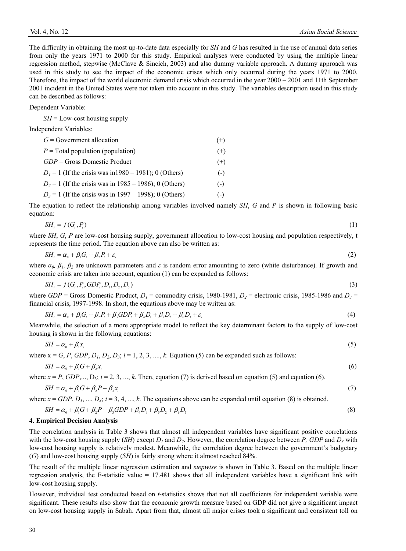The difficulty in obtaining the most up-to-date data especially for *SH* and *G* has resulted in the use of annual data series from only the years 1971 to 2000 for this study. Empirical analyses were conducted by using the multiple linear regression method, stepwise (McClave & Sincich, 2003) and also dummy variable approach. A dummy approach was used in this study to see the impact of the economic crises which only occurred during the years 1971 to 2000. Therefore, the impact of the world electronic demand crisis which occurred in the year 2000 – 2001 and 11th September 2001 incident in the United States were not taken into account in this study. The variables description used in this study can be described as follows:

Dependent Variable:

*SH* = Low-cost housing supply

Independent Variables:

| $G =$ Government allocation                              | $(+)$    |
|----------------------------------------------------------|----------|
| $P =$ Total population (population)                      | $^{(+)}$ |
| $GDP = Gross$ Domestic Product                           | $^{(+)}$ |
| $D_1 = 1$ (If the crisis was in 1980 – 1981); 0 (Others) | $(-)$    |
| $D_2 = 1$ (If the crisis was in 1985 – 1986); 0 (Others) | $(-)$    |
| $D_3 = 1$ (If the crisis was in 1997 – 1998); 0 (Others) | $(-)$    |

The equation to reflect the relationship among variables involved namely *SH*, *G* and *P* is shown in following basic equation:

$$
SH_t = f(G_t, P_t) \tag{1}
$$

where *SH*, *G*, *P* are low-cost housing supply, government allocation to low-cost housing and population respectively, t represents the time period. The equation above can also be written as:

$$
SH_t = \alpha_0 + \beta_1 G_t + \beta_2 P_t + \varepsilon_t \tag{2}
$$

where  $\alpha_0$ ,  $\beta_1$ ,  $\beta_2$  are unknown parameters and  $\varepsilon$  is random error amounting to zero (white disturbance). If growth and economic crisis are taken into account, equation (1) can be expanded as follows:

$$
SH_{i} = f(G_{i}, P_{i}, GDP_{i}, D_{1}, D_{2}, D_{3})
$$
\n(3)

where *GDP* = Gross Domestic Product,  $D_1$  = commodity crisis, 1980-1981,  $D_2$  = electronic crisis, 1985-1986 and  $D_3$  = financial crisis, 1997-1998. In short, the equations above may be written as:

$$
SH_t = \alpha_0 + \beta_1 G_t + \beta_2 P_t + \beta_3 GDP_t + \beta_4 D_1 + \beta_5 D_2 + \beta_6 D_3 + \varepsilon_t
$$
\n
$$
\tag{4}
$$

Meanwhile, the selection of a more appropriate model to reflect the key determinant factors to the supply of low-cost housing is shown in the following equations:

$$
SH = \alpha_0 + \beta_1 x_i \tag{5}
$$

where  $x = G$ , *P*, *GDP*,  $D_1$ ,  $D_2$ ,  $D_3$ ;  $i = 1, 2, 3, \dots, k$ . Equation (5) can be expanded such as follows:

$$
SH = \alpha_0 + \beta_1 G + \beta_2 x_i
$$
\n
$$
= B \quad CDB \quad D \quad i = 2, 3 \qquad k \text{ Then equation (7) is derived based on equation (5) and equation (6)}\n(6)
$$

where 
$$
x = P
$$
,  $GDP$ ,...,  $D_3$ ;  $i = 2, 3, ..., k$ . Then, equation (7) is derived based on equation (5) and equation (6).  
\n
$$
SH = \alpha_0 + \beta_1 G + \beta_2 P + \beta_3 x_i
$$
\n(7)

where  $x = GDP$ ,  $D_1$ , ...,  $D_3$ ;  $i = 3, 4, ..., k$ . The equations above can be expanded until equation (8) is obtained.

$$
SH = \alpha_0 + \beta_1 G + \beta_2 P + \beta_3 GDP + \beta_4 D_1 + \beta_5 D_2 + \beta_6 D_3 \tag{8}
$$

#### **4. Empirical Decision Analysis**

The correlation analysis in Table 3 shows that almost all independent variables have significant positive correlations with the low-cost housing supply  $(SH)$  except  $D_1$  and  $D_2$ . However, the correlation degree between *P*, *GDP* and  $D_3$  with low-cost housing supply is relatively modest. Meanwhile, the correlation degree between the government's budgetary (*G*) and low-cost housing supply (*SH*) is fairly strong where it almost reached 84%.

The result of the multiple linear regression estimation and *stepwise* is shown in Table 3. Based on the multiple linear regression analysis, the F-statistic value = 17.481 shows that all independent variables have a significant link with low-cost housing supply.

However, individual test conducted based on *t*-statistics shows that not all coefficients for independent variable were significant. These results also show that the economic growth measure based on GDP did not give a significant impact on low-cost housing supply in Sabah. Apart from that, almost all major crises took a significant and consistent toll on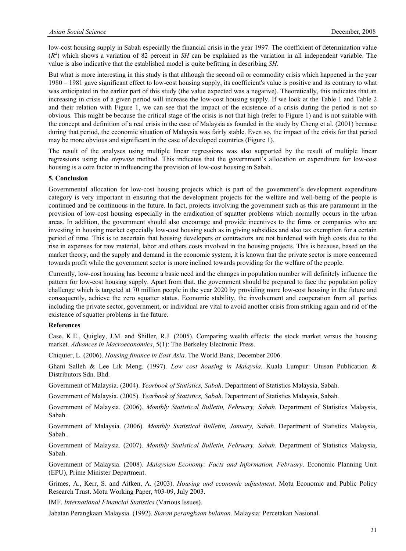low-cost housing supply in Sabah especially the financial crisis in the year 1997. The coefficient of determination value  $(R<sup>2</sup>)$  which shows a variation of 82 percent in *SH* can be explained as the variation in all independent variable. The value is also indicative that the established model is quite befitting in describing *SH*.

But what is more interesting in this study is that although the second oil or commodity crisis which happened in the year 1980 – 1981 gave significant effect to low-cost housing supply, its coefficient's value is positive and its contrary to what was anticipated in the earlier part of this study (the value expected was a negative). Theoretically, this indicates that an increasing in crisis of a given period will increase the low-cost housing supply. If we look at the Table 1 and Table 2 and their relation with Figure 1, we can see that the impact of the existence of a crisis during the period is not so obvious. This might be because the critical stage of the crisis is not that high (refer to Figure 1) and is not suitable with the concept and definition of a real crisis in the case of Malaysia as founded in the study by Cheng et al. (2001) because during that period, the economic situation of Malaysia was fairly stable. Even so, the impact of the crisis for that period may be more obvious and significant in the case of developed countries (Figure 1).

The result of the analyses using multiple linear regressions was also supported by the result of multiple linear regressions using the *stepwise* method. This indicates that the government's allocation or expenditure for low-cost housing is a core factor in influencing the provision of low-cost housing in Sabah.

### **5. Conclusion**

Governmental allocation for low-cost housing projects which is part of the government's development expenditure category is very important in ensuring that the development projects for the welfare and well-being of the people is continued and be continuous in the future. In fact, projects involving the government such as this are paramount in the provision of low-cost housing especially in the eradication of squatter problems which normally occurs in the urban areas. In addition, the government should also encourage and provide incentives to the firms or companies who are investing in housing market especially low-cost housing such as in giving subsidies and also tax exemption for a certain period of time. This is to ascertain that housing developers or contractors are not burdened with high costs due to the rise in expenses for raw material, labor and others costs involved in the housing projects. This is because, based on the market theory, and the supply and demand in the economic system, it is known that the private sector is more concerned towards profit while the government sector is more inclined towards providing for the welfare of the people.

Currently, low-cost housing has become a basic need and the changes in population number will definitely influence the pattern for low-cost housing supply. Apart from that, the government should be prepared to face the population policy challenge which is targeted at 70 million people in the year 2020 by providing more low-cost housing in the future and consequently, achieve the zero squatter status. Economic stability, the involvement and cooperation from all parties including the private sector, government, or individual are vital to avoid another crisis from striking again and rid of the existence of squatter problems in the future.

#### **References**

Case, K.E., Quigley, J.M. and Shiller, R.J. (2005). Comparing wealth effects: the stock market versus the housing market. *Advances in Macroeconomics*, 5(1): The Berkeley Electronic Press.

Chiquier, L. (2006). *Housing finance in East Asia*. The World Bank, December 2006.

Ghani Salleh & Lee Lik Meng. (1997). *Low cost housing in Malaysia*. Kuala Lumpur: Utusan Publication & Distributors Sdn. Bhd.

Government of Malaysia. (2004). *Yearbook of Statistics, Sabah*. Department of Statistics Malaysia, Sabah.

Government of Malaysia. (2005). *Yearbook of Statistics, Sabah*. Department of Statistics Malaysia, Sabah.

Government of Malaysia. (2006). *Monthly Statistical Bulletin, February, Sabah.* Department of Statistics Malaysia, Sabah.

Government of Malaysia. (2006). *Monthly Statistical Bulletin, January, Sabah.* Department of Statistics Malaysia, Sabah..

Government of Malaysia. (2007). *Monthly Statistical Bulletin, February, Sabah*. Department of Statistics Malaysia, Sabah.

Government of Malaysia. (2008). *Malaysian Economy: Facts and Information, February*. Economic Planning Unit (EPU), Prime Minister Department.

Grimes, A., Kerr, S. and Aitken, A. (2003). *Housing and economic adjustment*. Motu Economic and Public Policy Research Trust. Motu Working Paper, #03-09, July 2003.

IMF. *International Financial Statistics* (Various Issues).

Jabatan Perangkaan Malaysia. (1992). *Siaran perangkaan bulanan*. Malaysia: Percetakan Nasional.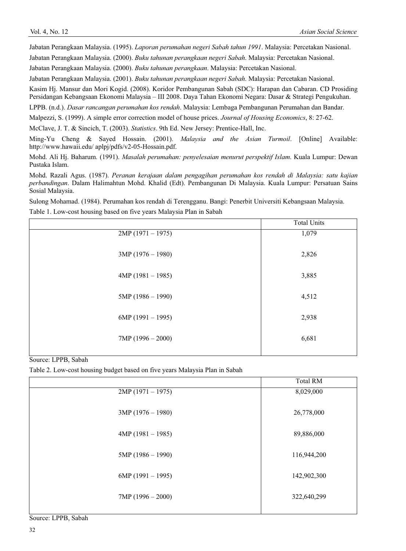Jabatan Perangkaan Malaysia. (1995). *Laporan perumahan negeri Sabah tahun 1991*. Malaysia: Percetakan Nasional.

Jabatan Perangkaan Malaysia. (2000). *Buku tahunan perangkaan negeri Sabah*. Malaysia: Percetakan Nasional.

Jabatan Perangkaan Malaysia. (2000). *Buku tahunan perangkaan*. Malaysia: Percetakan Nasional.

Jabatan Perangkaan Malaysia. (2001). *Buku tahunan perangkaan negeri Sabah*. Malaysia: Percetakan Nasional.

Kasim Hj. Mansur dan Mori Kogid. (2008). Koridor Pembangunan Sabah (SDC): Harapan dan Cabaran. CD Prosiding Persidangan Kebangsaan Ekonomi Malaysia – III 2008. Daya Tahan Ekonomi Negara: Dasar & Strategi Pengukuhan.

LPPB. (n.d.). *Dasar rancangan perumahan kos rendah*. Malaysia: Lembaga Pembangunan Perumahan dan Bandar.

Malpezzi, S. (1999). A simple error correction model of house prices. *Journal of Housing Economics*, 8: 27-62.

McClave, J. T. & Sincich, T. (2003). *Statistics*. 9th Ed. New Jersey: Prentice-Hall, Inc.

Ming-Yu Cheng & Sayed Hossain. (2001). *Malaysia and the Asian Turmoil*. [Online] Available: http://www.hawaii.edu/ aplpj/pdfs/v2-05-Hossain.pdf.

Mohd. Ali Hj. Baharum. (1991). *Masalah perumahan: penyelesaian menurut perspektif Islam*. Kuala Lumpur: Dewan Pustaka Islam.

Mohd. Razali Agus. (1987). *Peranan kerajaan dalam pengagihan perumahan kos rendah di Malaysia: satu kajian perbandingan*. Dalam Halimahtun Mohd. Khalid (Edt). Pembangunan Di Malaysia. Kuala Lumpur: Persatuan Sains Sosial Malaysia.

Sulong Mohamad. (1984). Perumahan kos rendah di Terengganu. Bangi: Penerbit Universiti Kebangsaan Malaysia.

Table 1. Low-cost housing based on five years Malaysia Plan in Sabah

| $2MP (1971 - 1975)$<br>1,079 |  |
|------------------------------|--|
|                              |  |
| $3MP (1976 - 1980)$<br>2,826 |  |
| $4MP (1981 - 1985)$<br>3,885 |  |
| $5MP (1986 - 1990)$<br>4,512 |  |
| $6MP (1991 - 1995)$<br>2,938 |  |
| $7MP (1996 - 2000)$<br>6,681 |  |

Source: LPPB, Sabah

Table 2. Low-cost housing budget based on five years Malaysia Plan in Sabah

|                     | <b>Total RM</b> |
|---------------------|-----------------|
| $2MP (1971 - 1975)$ | 8,029,000       |
| $3MP (1976 - 1980)$ | 26,778,000      |
| $4MP (1981 - 1985)$ | 89,886,000      |
| $5MP (1986 - 1990)$ | 116,944,200     |
| $6MP (1991 - 1995)$ | 142,902,300     |
| $7MP (1996 - 2000)$ | 322,640,299     |

Source: LPPB, Sabah